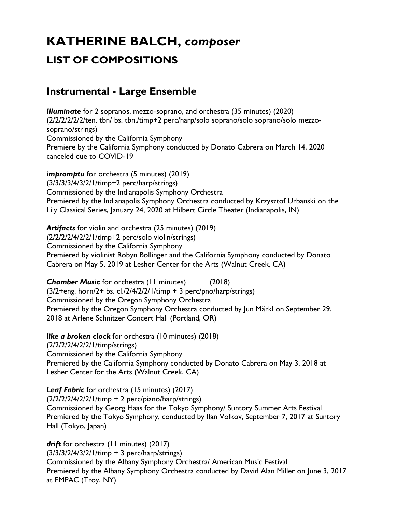# **KATHERINE BALCH,** *composer* **LIST OF COMPOSITIONS**

#### **Instrumental - Large Ensemble**

*Illuminate* for 2 sopranos, mezzo-soprano, and orchestra (35 minutes) (2020) (2/2/2/2/2/2/ten. tbn/ bs. tbn./timp+2 perc/harp/solo soprano/solo soprano/solo mezzosoprano/strings) Commissioned by the California Symphony Premiere by the California Symphony conducted by Donato Cabrera on March 14, 2020 canceled due to COVID-19

*impromptu* for orchestra (5 minutes) (2019) (3/3/3/3/4/3/2/1/timp+2 perc/harp/strings) Commissioned by the Indianapolis Symphony Orchestra Premiered by the Indianapolis Symphony Orchestra conducted by Krzysztof Urbanski on the Lily Classical Series, January 24, 2020 at Hilbert Circle Theater (Indianapolis, IN)

*Artifacts* for violin and orchestra (25 minutes) (2019) (2/2/2/2/4/2/2/1/timp+2 perc/solo violin/strings) Commissioned by the California Symphony Premiered by violinist Robyn Bollinger and the California Symphony conducted by Donato Cabrera on May 5, 2019 at Lesher Center for the Arts (Walnut Creek, CA)

**Chamber Music** for orchestra (11 minutes) (2018)  $(3/2+eng.$  horn/2+ bs. cl./2/4/2/2/1/timp + 3 perc/pno/harp/strings) Commissioned by the Oregon Symphony Orchestra Premiered by the Oregon Symphony Orchestra conducted by Jun Märkl on September 29, 2018 at Arlene Schnitzer Concert Hall (Portland, OR)

*like a broken clock* for orchestra (10 minutes) (2018) (2/2/2/2/4/2/2/1/timp/strings) Commissioned by the California Symphony Premiered by the California Symphony conducted by Donato Cabrera on May 3, 2018 at Lesher Center for the Arts (Walnut Creek, CA)

*Leaf Fabric* for orchestra (15 minutes) (2017) (2/2/2/2/4/2/2/1/timp + 2 perc/piano/harp/strings) Commissioned by Georg Haas for the Tokyo Symphony/ Suntory Summer Arts Festival Premiered by the Tokyo Symphony, conducted by Ilan Volkov, September 7, 2017 at Suntory Hall (Tokyo, Japan)

*drift* for orchestra (11 minutes) (2017) (3/3/3/2/4/3/2/1/timp + 3 perc/harp/strings) Commissioned by the Albany Symphony Orchestra/ American Music Festival Premiered by the Albany Symphony Orchestra conducted by David Alan Miller on June 3, 2017 at EMPAC (Troy, NY)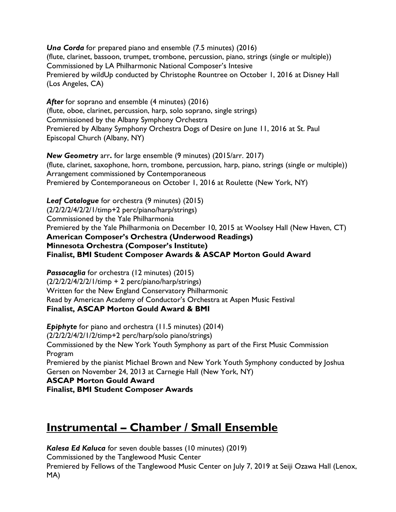*Una Corda* for prepared piano and ensemble (7.5 minutes) (2016) (flute, clarinet, bassoon, trumpet, trombone, percussion, piano, strings (single or multiple)) Commissioned by LA Philharmonic National Composer's Intesive Premiered by wildUp conducted by Christophe Rountree on October 1, 2016 at Disney Hall (Los Angeles, CA)

After for soprano and ensemble (4 minutes) (2016) (flute, oboe, clarinet, percussion, harp, solo soprano, single strings) Commissioned by the Albany Symphony Orchestra Premiered by Albany Symphony Orchestra Dogs of Desire on June 11, 2016 at St. Paul Episcopal Church (Albany, NY)

*New Geometry* arr**.** for large ensemble (9 minutes) (2015/arr. 2017) (flute, clarinet, saxophone, horn, trombone, percussion, harp, piano, strings (single or multiple)) Arrangement commissioned by Contemporaneous Premiered by Contemporaneous on October 1, 2016 at Roulette (New York, NY)

*Leaf Catalogue* for orchestra (9 minutes) (2015) (2/2/2/2/4/2/2/1/timp+2 perc/piano/harp/strings) Commissioned by the Yale Philharmonia Premiered by the Yale Philharmonia on December 10, 2015 at Woolsey Hall (New Haven, CT) **American Composer's Orchestra (Underwood Readings) Minnesota Orchestra (Composer's Institute) Finalist, BMI Student Composer Awards & ASCAP Morton Gould Award**

*Passacaglia* for orchestra (12 minutes) (2015) (2/2/2/2/4/2/2/1/timp + 2 perc/piano/harp/strings) Written for the New England Conservatory Philharmonic Read by American Academy of Conductor's Orchestra at Aspen Music Festival **Finalist, ASCAP Morton Gould Award & BMI** 

**Epiphyte** for piano and orchestra (11.5 minutes) (2014) (2/2/2/2/4/2/1/2/timp+2 perc/harp/solo piano/strings) Commissioned by the New York Youth Symphony as part of the First Music Commission Program Premiered by the pianist Michael Brown and New York Youth Symphony conducted by Joshua Gersen on November 24, 2013 at Carnegie Hall (New York, NY) **ASCAP Morton Gould Award Finalist, BMI Student Composer Awards**

## **Instrumental – Chamber / Small Ensemble**

*Kalesa Ed Kaluca* for seven double basses (10 minutes) (2019) Commissioned by the Tanglewood Music Center Premiered by Fellows of the Tanglewood Music Center on July 7, 2019 at Seiji Ozawa Hall (Lenox, MA)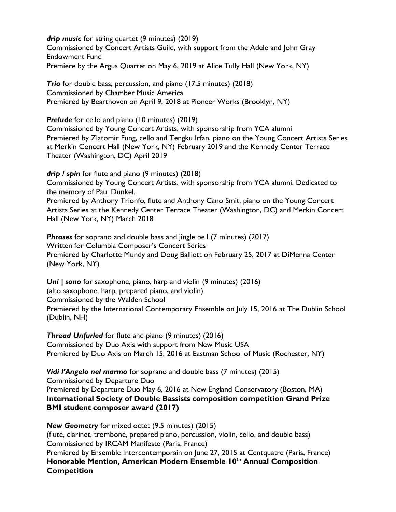*drip music* for string quartet (9 minutes) (2019) Commissioned by Concert Artists Guild, with support from the Adele and John Gray Endowment Fund Premiere by the Argus Quartet on May 6, 2019 at Alice Tully Hall (New York, NY)

**Trio** for double bass, percussion, and piano (17.5 minutes) (2018) Commissioned by Chamber Music America Premiered by Bearthoven on April 9, 2018 at Pioneer Works (Brooklyn, NY)

**Prelude** for cello and piano (10 minutes) (2019)

Commissioned by Young Concert Artists, with sponsorship from YCA alumni Premiered by Zlatomir Fung, cello and Tengku Irfan, piano on the Young Concert Artists Series at Merkin Concert Hall (New York, NY) February 2019 and the Kennedy Center Terrace Theater (Washington, DC) April 2019

*drip / spin* for flute and piano (9 minutes) (2018) Commissioned by Young Concert Artists, with sponsorship from YCA alumni. Dedicated to the memory of Paul Dunkel. Premiered by Anthony Trionfo, flute and Anthony Cano Smit, piano on the Young Concert

Artists Series at the Kennedy Center Terrace Theater (Washington, DC) and Merkin Concert Hall (New York, NY) March 2018

**Phrases** for soprano and double bass and jingle bell (7 minutes) (2017) Written for Columbia Composer's Concert Series Premiered by Charlotte Mundy and Doug Balliett on February 25, 2017 at DiMenna Center (New York, NY)

*Uni | sono* for saxophone, piano, harp and violin (9 minutes) (2016) (alto saxophone, harp, prepared piano, and violin) Commissioned by the Walden School Premiered by the International Contemporary Ensemble on July 15, 2016 at The Dublin School (Dublin, NH)

*Thread Unfurled* for flute and piano (9 minutes) (2016) Commissioned by Duo Axis with support from New Music USA Premiered by Duo Axis on March 15, 2016 at Eastman School of Music (Rochester, NY)

*Vidi l'Angelo nel marmo* for soprano and double bass (7 minutes) (2015) Commissioned by Departure Duo Premiered by Departure Duo May 6, 2016 at New England Conservatory (Boston, MA) **International Society of Double Bassists composition competition Grand Prize BMI student composer award (2017)**

*New Geometry* for mixed octet (9.5 minutes) (2015) (flute, clarinet, trombone, prepared piano, percussion, violin, cello, and double bass) Commissioned by IRCAM Manifeste (Paris, France) Premiered by Ensemble Intercontemporain on June 27, 2015 at Centquatre (Paris, France) **Honorable Mention, American Modern Ensemble 10th Annual Composition Competition**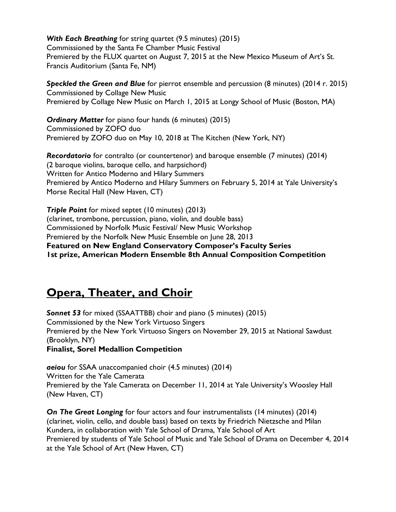*With Each Breathing* for string quartet (9.5 minutes) (2015) Commissioned by the Santa Fe Chamber Music Festival Premiered by the FLUX quartet on August 7, 2015 at the New Mexico Museum of Art's St. Francis Auditorium (Santa Fe, NM)

*Speckled the Green and Blue* for pierrot ensemble and percussion (8 minutes) (2014 r. 2015) Commissioned by Collage New Music Premiered by Collage New Music on March 1, 2015 at Longy School of Music (Boston, MA)

*Ordinary Matter* for piano four hands (6 minutes) (2015) Commissioned by ZOFO duo Premiered by ZOFO duo on May 10, 2018 at The Kitchen (New York, NY)

*Recordatorio* for contralto (or countertenor) and baroque ensemble (7 minutes) (2014) (2 baroque violins, baroque cello, and harpsichord) Written for Antico Moderno and Hilary Summers Premiered by Antico Moderno and Hilary Summers on February 5, 2014 at Yale University's Morse Recital Hall (New Haven, CT)

*Triple Point* for mixed septet (10 minutes) (2013) (clarinet, trombone, percussion, piano, violin, and double bass) Commissioned by Norfolk Music Festival/ New Music Workshop Premiered by the Norfolk New Music Ensemble on June 28, 2013 **Featured on New England Conservatory Composer's Faculty Series 1st prize, American Modern Ensemble 8th Annual Composition Competition** 

## **Opera, Theater, and Choir**

*Sonnet 53* for mixed (SSAATTBB) choir and piano (5 minutes) (2015) Commissioned by the New York Virtuoso Singers Premiered by the New York Virtuoso Singers on November 29, 2015 at National Sawdust (Brooklyn, NY) **Finalist, Sorel Medallion Competition**

*aeiou* for SSAA unaccompanied choir (4.5 minutes) (2014) Written for the Yale Camerata Premiered by the Yale Camerata on December 11, 2014 at Yale University's Woosley Hall (New Haven, CT)

*On The Great Longing* for four actors and four instrumentalists (14 minutes) (2014) (clarinet, violin, cello, and double bass) based on texts by Friedrich Nietzsche and Milan Kundera, in collaboration with Yale School of Drama, Yale School of Art Premiered by students of Yale School of Music and Yale School of Drama on December 4, 2014 at the Yale School of Art (New Haven, CT)